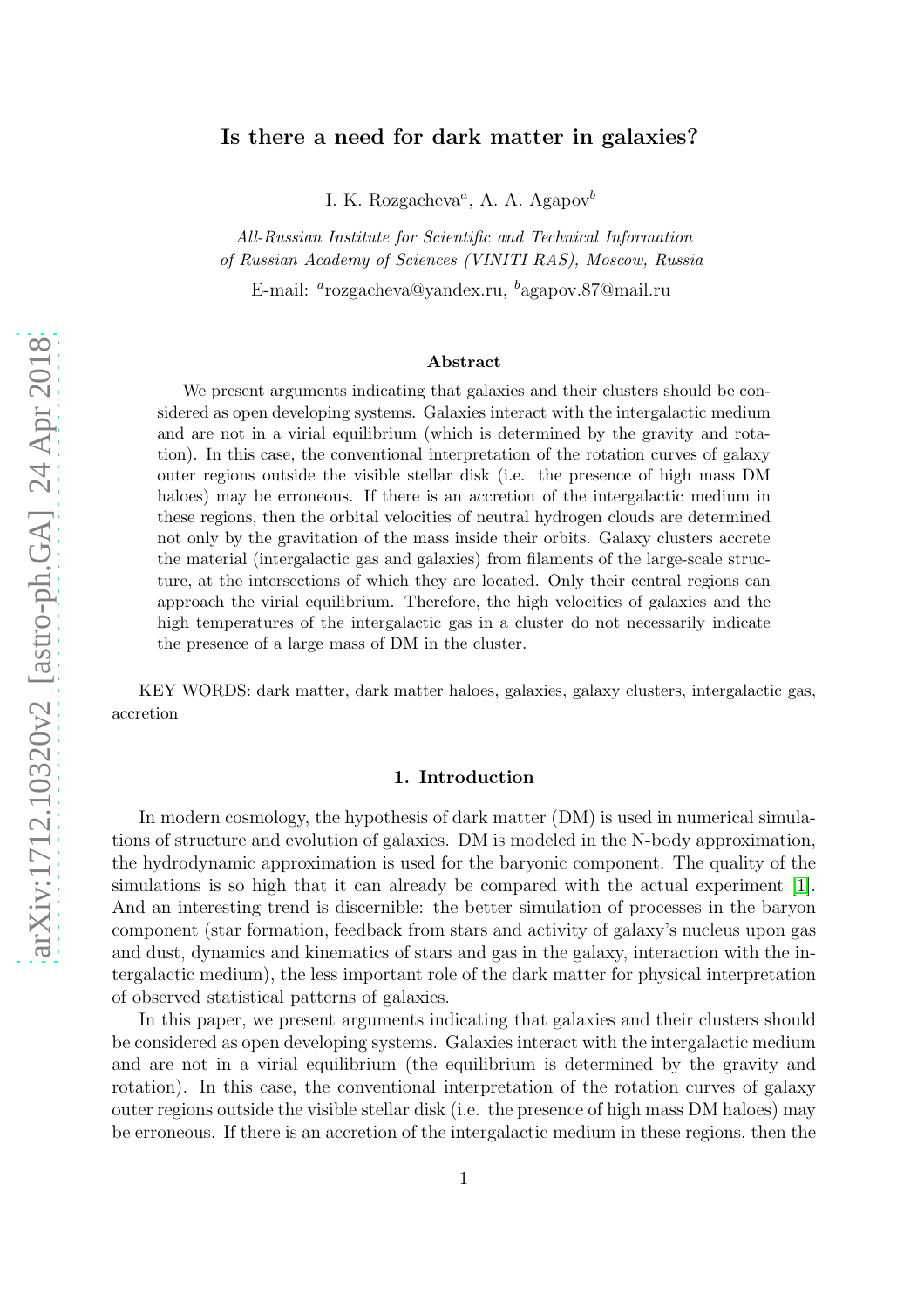## Is there a need for dark matter in galaxies?

I. K. Rozgacheva<sup>a</sup>, A. A. Agapov<sup>b</sup>

All-Russian Institute for Scientific and Technical Information of Russian Academy of Sciences (VINITI RAS), Moscow, Russia

E-mail: <sup>a</sup>rozgacheva@yandex.ru, <sup>b</sup>agapov.87@mail.ru

#### Abstract

We present arguments indicating that galaxies and their clusters should be considered as open developing systems. Galaxies interact with the intergalactic medium and are not in a virial equilibrium (which is determined by the gravity and rotation). In this case, the conventional interpretation of the rotation curves of galaxy outer regions outside the visible stellar disk (i.e. the presence of high mass DM haloes) may be erroneous. If there is an accretion of the intergalactic medium in these regions, then the orbital velocities of neutral hydrogen clouds are determined not only by the gravitation of the mass inside their orbits. Galaxy clusters accrete the material (intergalactic gas and galaxies) from filaments of the large-scale structure, at the intersections of which they are located. Only their central regions can approach the virial equilibrium. Therefore, the high velocities of galaxies and the high temperatures of the intergalactic gas in a cluster do not necessarily indicate the presence of a large mass of DM in the cluster.

KEY WORDS: dark matter, dark matter haloes, galaxies, galaxy clusters, intergalactic gas, accretion

### 1. Introduction

In modern cosmology, the hypothesis of dark matter (DM) is used in numerical simulations of structure and evolution of galaxies. DM is modeled in the N-body approximation, the hydrodynamic approximation is used for the baryonic component. The quality of the simulations is so high that it can already be compared with the actual experiment [\[1\]](#page-6-0). And an interesting trend is discernible: the better simulation of processes in the baryon component (star formation, feedback from stars and activity of galaxy's nucleus upon gas and dust, dynamics and kinematics of stars and gas in the galaxy, interaction with the intergalactic medium), the less important role of the dark matter for physical interpretation of observed statistical patterns of galaxies.

In this paper, we present arguments indicating that galaxies and their clusters should be considered as open developing systems. Galaxies interact with the intergalactic medium and are not in a virial equilibrium (the equilibrium is determined by the gravity and rotation). In this case, the conventional interpretation of the rotation curves of galaxy outer regions outside the visible stellar disk (i.e. the presence of high mass DM haloes) may be erroneous. If there is an accretion of the intergalactic medium in these regions, then the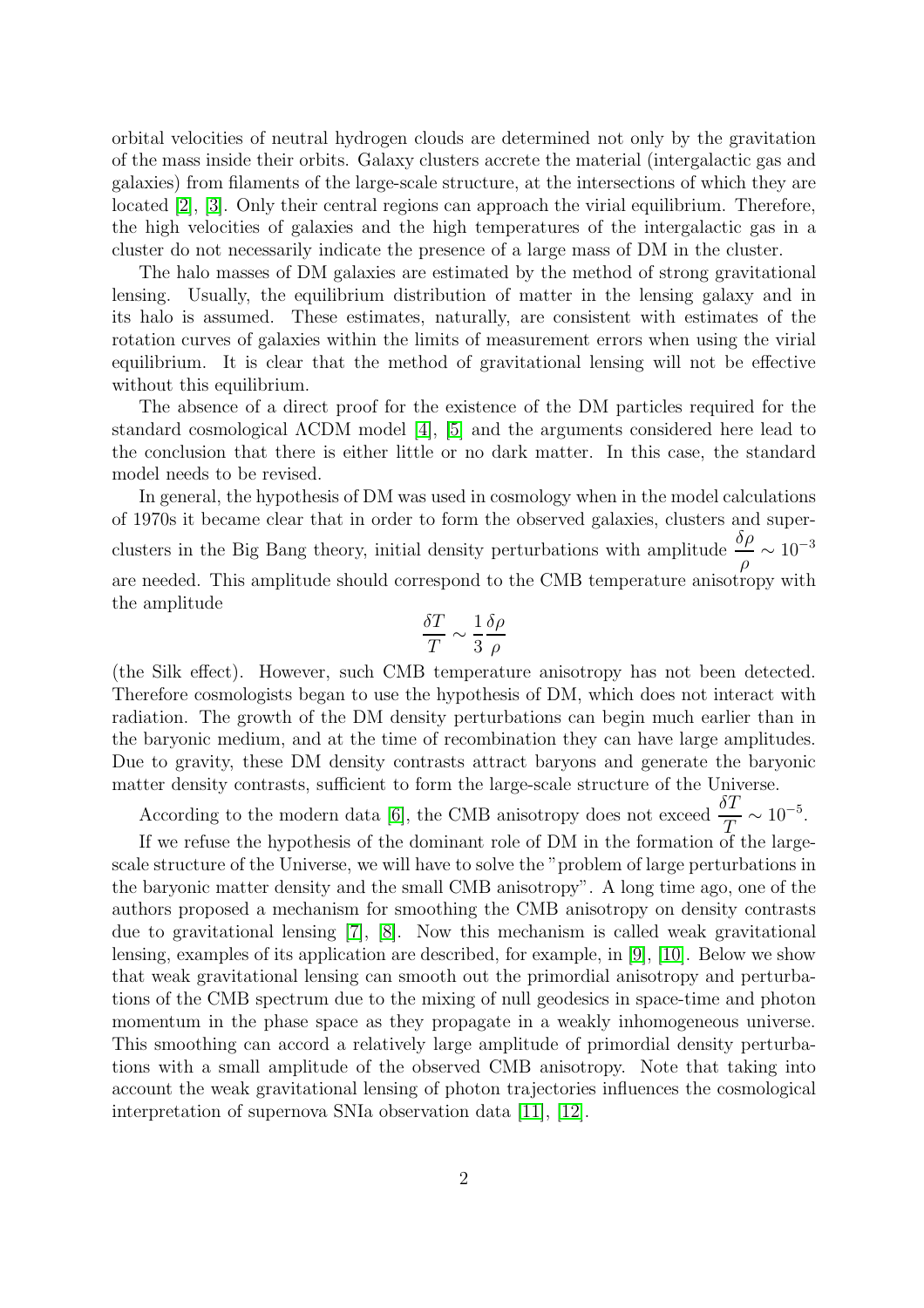orbital velocities of neutral hydrogen clouds are determined not only by the gravitation of the mass inside their orbits. Galaxy clusters accrete the material (intergalactic gas and galaxies) from filaments of the large-scale structure, at the intersections of which they are located [\[2\]](#page-6-1), [\[3\]](#page-6-2). Only their central regions can approach the virial equilibrium. Therefore, the high velocities of galaxies and the high temperatures of the intergalactic gas in a cluster do not necessarily indicate the presence of a large mass of DM in the cluster.

The halo masses of DM galaxies are estimated by the method of strong gravitational lensing. Usually, the equilibrium distribution of matter in the lensing galaxy and in its halo is assumed. These estimates, naturally, are consistent with estimates of the rotation curves of galaxies within the limits of measurement errors when using the virial equilibrium. It is clear that the method of gravitational lensing will not be effective without this equilibrium.

The absence of a direct proof for the existence of the DM particles required for the standard cosmological ΛCDM model [\[4\]](#page-6-3), [\[5\]](#page-7-0) and the arguments considered here lead to the conclusion that there is either little or no dark matter. In this case, the standard model needs to be revised.

In general, the hypothesis of DM was used in cosmology when in the model calculations of 1970s it became clear that in order to form the observed galaxies, clusters and superclusters in the Big Bang theory, initial density perturbations with amplitude  $\frac{\delta \rho}{\epsilon}$ ρ  $\sim 10^{-3}$ are needed. This amplitude should correspond to the CMB temperature anisotropy with the amplitude

$$
\frac{\delta T}{T} \sim \frac{1}{3} \frac{\delta \rho}{\rho}
$$

(the Silk effect). However, such CMB temperature anisotropy has not been detected. Therefore cosmologists began to use the hypothesis of DM, which does not interact with radiation. The growth of the DM density perturbations can begin much earlier than in the baryonic medium, and at the time of recombination they can have large amplitudes. Due to gravity, these DM density contrasts attract baryons and generate the baryonic matter density contrasts, sufficient to form the large-scale structure of the Universe.

According to the modern data [\[6\]](#page-7-1), the CMB anisotropy does not exceed  $\frac{\delta T}{T} \sim 10^{-5}$ .

If we refuse the hypothesis of the dominant role of DM in the formation of the largescale structure of the Universe, we will have to solve the "problem of large perturbations in the baryonic matter density and the small CMB anisotropy". A long time ago, one of the authors proposed a mechanism for smoothing the CMB anisotropy on density contrasts due to gravitational lensing [\[7\]](#page-7-2), [\[8\]](#page-7-3). Now this mechanism is called weak gravitational lensing, examples of its application are described, for example, in [\[9\]](#page-7-4), [\[10\]](#page-7-5). Below we show that weak gravitational lensing can smooth out the primordial anisotropy and perturbations of the CMB spectrum due to the mixing of null geodesics in space-time and photon momentum in the phase space as they propagate in a weakly inhomogeneous universe. This smoothing can accord a relatively large amplitude of primordial density perturbations with a small amplitude of the observed CMB anisotropy. Note that taking into account the weak gravitational lensing of photon trajectories influences the cosmological interpretation of supernova SNIa observation data [\[11\]](#page-7-6), [\[12\]](#page-7-7).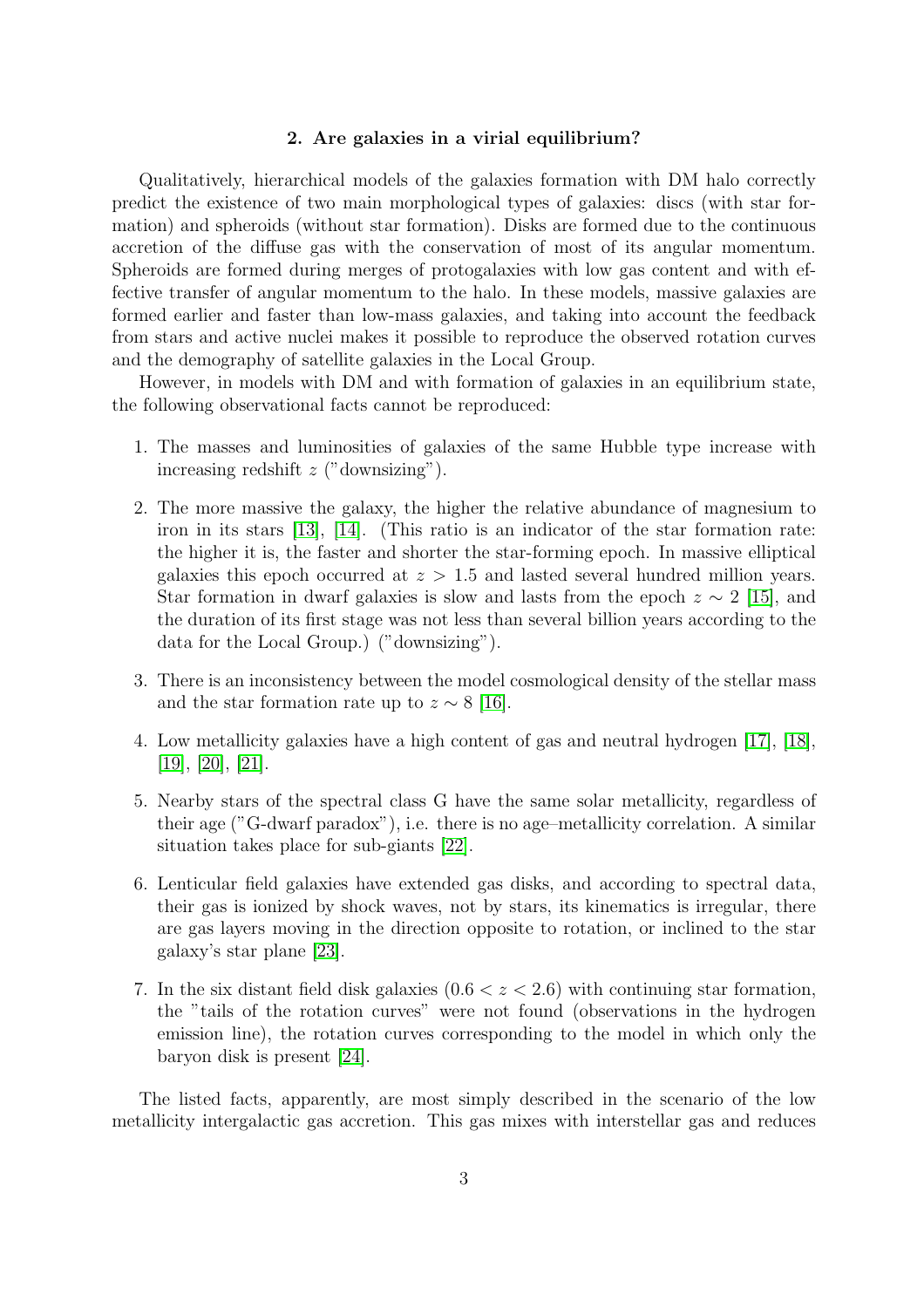#### 2. Are galaxies in a virial equilibrium?

Qualitatively, hierarchical models of the galaxies formation with DM halo correctly predict the existence of two main morphological types of galaxies: discs (with star formation) and spheroids (without star formation). Disks are formed due to the continuous accretion of the diffuse gas with the conservation of most of its angular momentum. Spheroids are formed during merges of protogalaxies with low gas content and with effective transfer of angular momentum to the halo. In these models, massive galaxies are formed earlier and faster than low-mass galaxies, and taking into account the feedback from stars and active nuclei makes it possible to reproduce the observed rotation curves and the demography of satellite galaxies in the Local Group.

However, in models with DM and with formation of galaxies in an equilibrium state, the following observational facts cannot be reproduced:

- 1. The masses and luminosities of galaxies of the same Hubble type increase with increasing redshift  $z$  ("downsizing").
- 2. The more massive the galaxy, the higher the relative abundance of magnesium to iron in its stars [\[13\]](#page-7-8), [\[14\]](#page-7-9). (This ratio is an indicator of the star formation rate: the higher it is, the faster and shorter the star-forming epoch. In massive elliptical galaxies this epoch occurred at  $z > 1.5$  and lasted several hundred million years. Star formation in dwarf galaxies is slow and lasts from the epoch  $z \sim 2$  [\[15\]](#page-7-10), and the duration of its first stage was not less than several billion years according to the data for the Local Group.) ("downsizing").
- 3. There is an inconsistency between the model cosmological density of the stellar mass and the star formation rate up to  $z \sim 8$  [\[16\]](#page-7-11).
- 4. Low metallicity galaxies have a high content of gas and neutral hydrogen [\[17\]](#page-7-12), [\[18\]](#page-8-0), [\[19\]](#page-8-1), [\[20\]](#page-8-2), [\[21\]](#page-8-3).
- 5. Nearby stars of the spectral class G have the same solar metallicity, regardless of their age ("G-dwarf paradox"), i.e. there is no age–metallicity correlation. A similar situation takes place for sub-giants [\[22\]](#page-8-4).
- 6. Lenticular field galaxies have extended gas disks, and according to spectral data, their gas is ionized by shock waves, not by stars, its kinematics is irregular, there are gas layers moving in the direction opposite to rotation, or inclined to the star galaxy's star plane [\[23\]](#page-8-5).
- 7. In the six distant field disk galaxies  $(0.6 < z < 2.6)$  with continuing star formation, the "tails of the rotation curves" were not found (observations in the hydrogen emission line), the rotation curves corresponding to the model in which only the baryon disk is present [\[24\]](#page-8-6).

The listed facts, apparently, are most simply described in the scenario of the low metallicity intergalactic gas accretion. This gas mixes with interstellar gas and reduces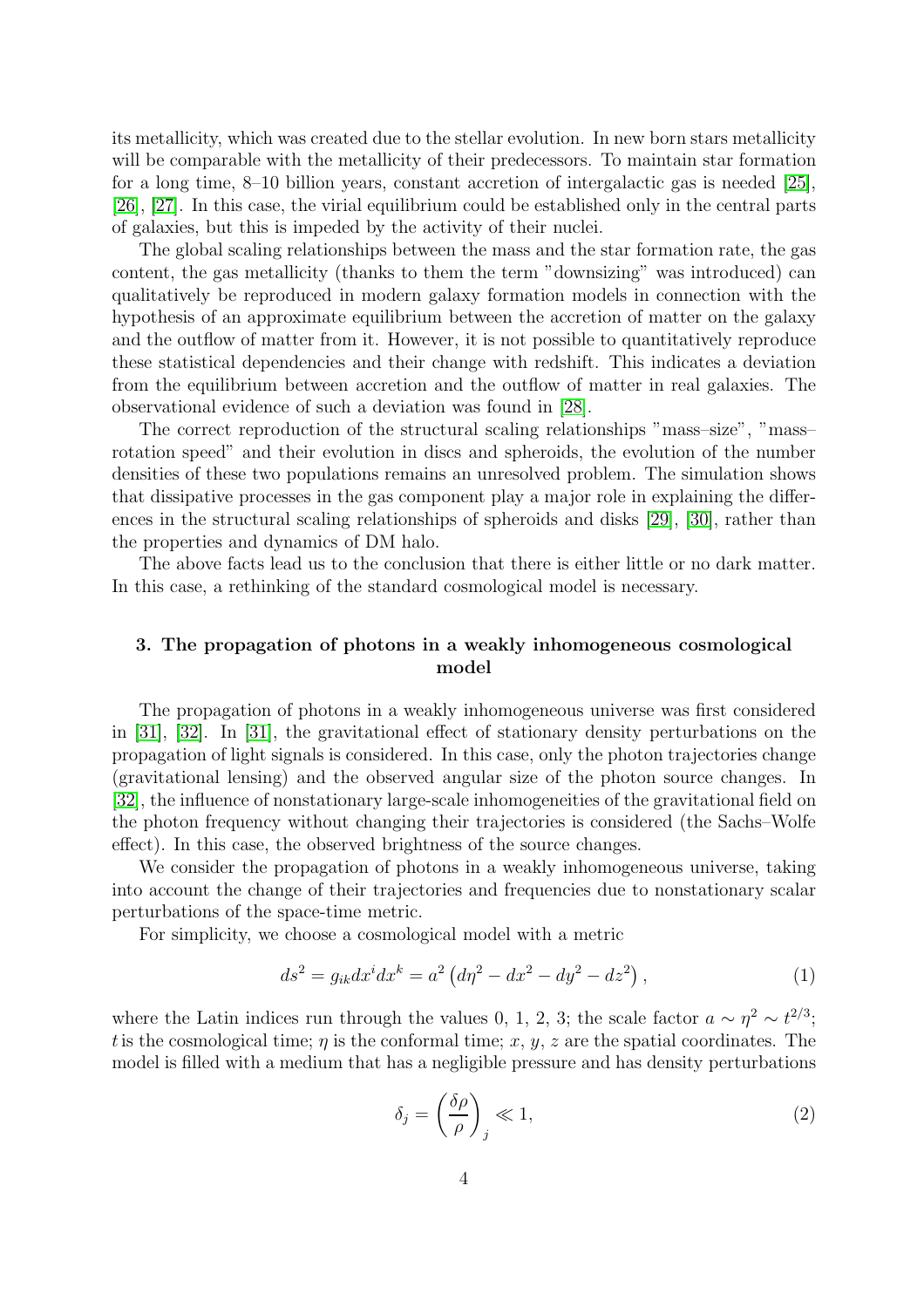its metallicity, which was created due to the stellar evolution. In new born stars metallicity will be comparable with the metallicity of their predecessors. To maintain star formation for a long time, 8–10 billion years, constant accretion of intergalactic gas is needed [\[25\]](#page-8-7), [\[26\]](#page-8-8), [\[27\]](#page-8-9). In this case, the virial equilibrium could be established only in the central parts of galaxies, but this is impeded by the activity of their nuclei.

The global scaling relationships between the mass and the star formation rate, the gas content, the gas metallicity (thanks to them the term "downsizing" was introduced) can qualitatively be reproduced in modern galaxy formation models in connection with the hypothesis of an approximate equilibrium between the accretion of matter on the galaxy and the outflow of matter from it. However, it is not possible to quantitatively reproduce these statistical dependencies and their change with redshift. This indicates a deviation from the equilibrium between accretion and the outflow of matter in real galaxies. The observational evidence of such a deviation was found in [\[28\]](#page-8-10).

The correct reproduction of the structural scaling relationships "mass–size", "mass– rotation speed" and their evolution in discs and spheroids, the evolution of the number densities of these two populations remains an unresolved problem. The simulation shows that dissipative processes in the gas component play a major role in explaining the differences in the structural scaling relationships of spheroids and disks [\[29\]](#page-9-0), [\[30\]](#page-9-1), rather than the properties and dynamics of DM halo.

The above facts lead us to the conclusion that there is either little or no dark matter. In this case, a rethinking of the standard cosmological model is necessary.

## 3. The propagation of photons in a weakly inhomogeneous cosmological model

The propagation of photons in a weakly inhomogeneous universe was first considered in [\[31\]](#page-9-2), [\[32\]](#page-9-3). In [\[31\]](#page-9-2), the gravitational effect of stationary density perturbations on the propagation of light signals is considered. In this case, only the photon trajectories change (gravitational lensing) and the observed angular size of the photon source changes. In [\[32\]](#page-9-3), the influence of nonstationary large-scale inhomogeneities of the gravitational field on the photon frequency without changing their trajectories is considered (the Sachs–Wolfe effect). In this case, the observed brightness of the source changes.

We consider the propagation of photons in a weakly inhomogeneous universe, taking into account the change of their trajectories and frequencies due to nonstationary scalar perturbations of the space-time metric.

For simplicity, we choose a cosmological model with a metric

$$
ds^{2} = g_{ik}dx^{i}dx^{k} = a^{2} \left(d\eta^{2} - dx^{2} - dy^{2} - dz^{2}\right),
$$
\n(1)

where the Latin indices run through the values 0, 1, 2, 3; the scale factor  $a \sim \eta^2 \sim t^{2/3}$ ; t is the cosmological time;  $\eta$  is the conformal time; x, y, z are the spatial coordinates. The model is filled with a medium that has a negligible pressure and has density perturbations

$$
\delta_j = \left(\frac{\delta \rho}{\rho}\right)_j \ll 1,\tag{2}
$$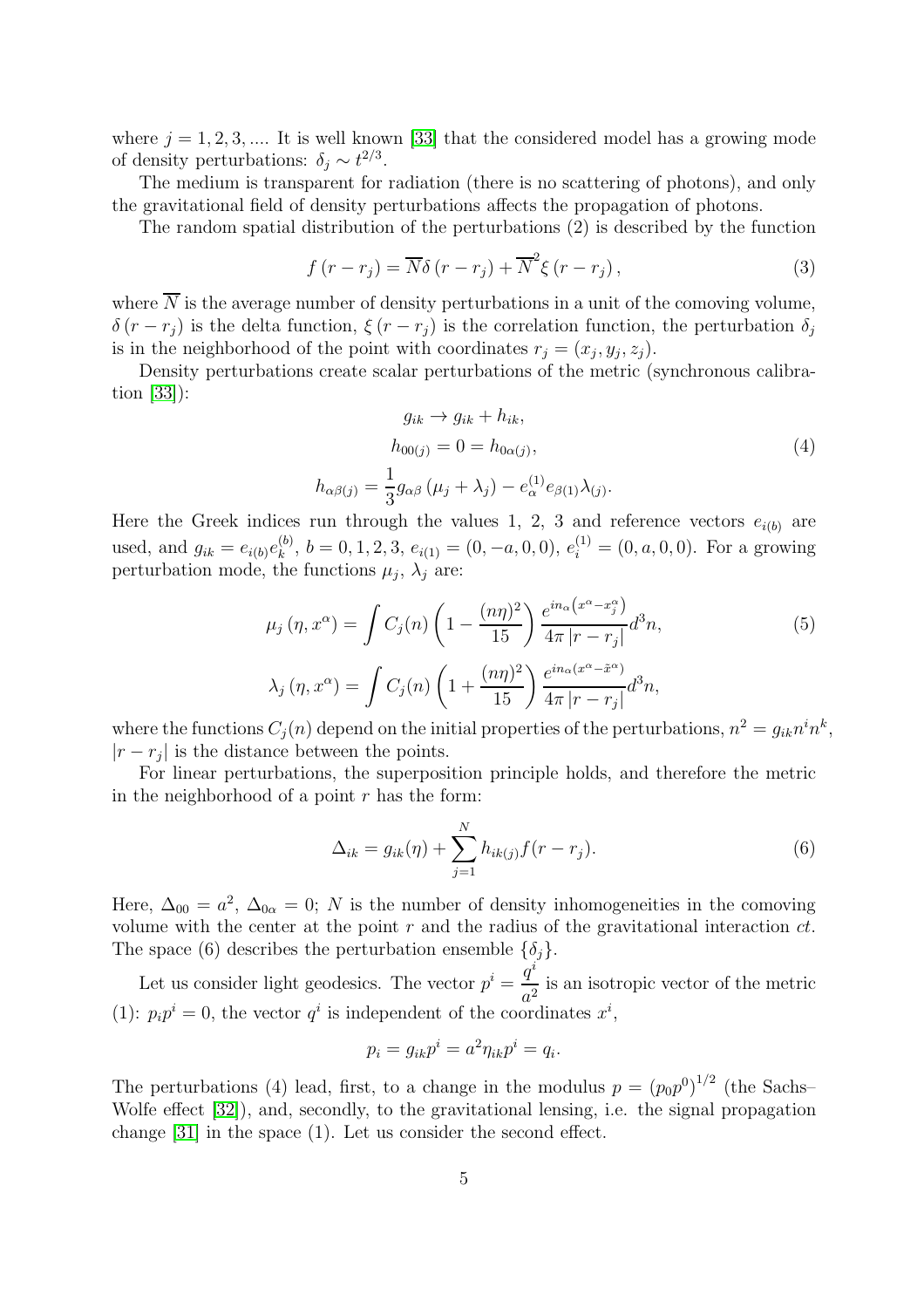where  $j = 1, 2, 3, \dots$  It is well known [\[33\]](#page-9-4) that the considered model has a growing mode of density perturbations:  $\delta_j \sim t^{2/3}$ .

The medium is transparent for radiation (there is no scattering of photons), and only the gravitational field of density perturbations affects the propagation of photons.

The random spatial distribution of the perturbations (2) is described by the function

$$
f(r - r_j) = \overline{N}\delta(r - r_j) + \overline{N}^2 \xi(r - r_j),
$$
\n(3)

where  $\overline{N}$  is the average number of density perturbations in a unit of the comoving volume,  $\delta (r - r_i)$  is the delta function,  $\xi (r - r_i)$  is the correlation function, the perturbation  $\delta_i$ is in the neighborhood of the point with coordinates  $r_j = (x_j, y_j, z_j)$ .

Density perturbations create scalar perturbations of the metric (synchronous calibration [\[33\]](#page-9-4)):

$$
g_{ik} \rightarrow g_{ik} + h_{ik},
$$
  
\n
$$
h_{00(j)} = 0 = h_{0\alpha(j)},
$$
  
\n
$$
h_{\alpha\beta(j)} = \frac{1}{3} g_{\alpha\beta} (\mu_j + \lambda_j) - e_{\alpha}^{(1)} e_{\beta(1)} \lambda_{(j)}.
$$
\n
$$
(4)
$$

Here the Greek indices run through the values 1, 2, 3 and reference vectors  $e_{i(b)}$  are used, and  $g_{ik} = e_{i(b)} e_k^{(b)}$  $k_k^{(b)}$ ,  $b = 0, 1, 2, 3, e_{i(1)} = (0, -a, 0, 0), e_i^{(1)} = (0, a, 0, 0)$ . For a growing perturbation mode, the functions  $\mu_j$ ,  $\lambda_j$  are:

$$
\mu_j(\eta, x^{\alpha}) = \int C_j(n) \left( 1 - \frac{(n\eta)^2}{15} \right) \frac{e^{in_{\alpha}(x^{\alpha} - x_j^{\alpha})}}{4\pi |r - r_j|} d^3 n,
$$
\n
$$
\lambda_j(\eta, x^{\alpha}) = \int C_j(n) \left( 1 + \frac{(n\eta)^2}{15} \right) \frac{e^{in_{\alpha}(x^{\alpha} - \tilde{x}^{\alpha})}}{4\pi |r - r_j|} d^3 n,
$$
\n(5)

where the functions  $C_j(n)$  depend on the initial properties of the perturbations,  $n^2 = g_{ik}n^i n^k$ ,  $|r - r_j|$  is the distance between the points.

For linear perturbations, the superposition principle holds, and therefore the metric in the neighborhood of a point  $r$  has the form:

$$
\Delta_{ik} = g_{ik}(\eta) + \sum_{j=1}^{N} h_{ik(j)} f(r - r_j).
$$
\n(6)

Here,  $\Delta_{00} = a^2$ ,  $\Delta_{0\alpha} = 0$ ; N is the number of density inhomogeneities in the comoving volume with the center at the point  $r$  and the radius of the gravitational interaction  $ct$ . The space (6) describes the perturbation ensemble  $\{\delta_i\}.$ 

Let us consider light geodesics. The vector  $p^i = \frac{q^i}{q^i}$  $\frac{q}{a^2}$  is an isotropic vector of the metric (1):  $p_i p^i = 0$ , the vector  $q^i$  is independent of the coordinates  $x^i$ ,

$$
p_i = g_{ik}p^i = a^2 \eta_{ik}p^i = q_i.
$$

The perturbations (4) lead, first, to a change in the modulus  $p = (p_0 p_0)^{1/2}$  (the Sachs-Wolfe effect [\[32\]](#page-9-3)), and, secondly, to the gravitational lensing, i.e. the signal propagation change [\[31\]](#page-9-2) in the space (1). Let us consider the second effect.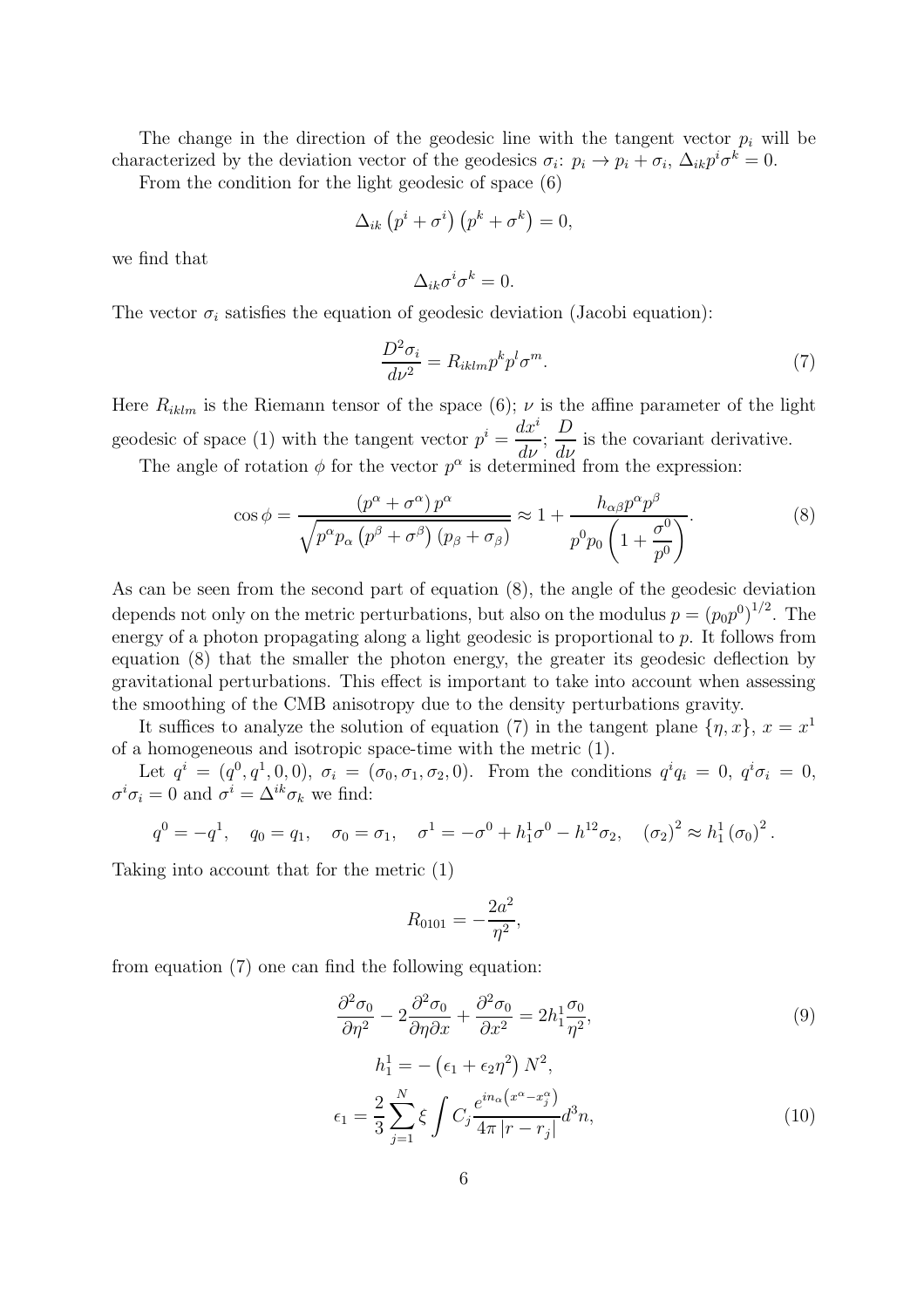The change in the direction of the geodesic line with the tangent vector  $p_i$  will be characterized by the deviation vector of the geodesics  $\sigma_i: p_i \to p_i + \sigma_i$ ,  $\Delta_{ik} p^i \sigma^k = 0$ .

From the condition for the light geodesic of space (6)

$$
\Delta_{ik} \left( p^i + \sigma^i \right) \left( p^k + \sigma^k \right) = 0,
$$

we find that

$$
\Delta_{ik}\sigma^i\sigma^k=0.
$$

The vector  $\sigma_i$  satisfies the equation of geodesic deviation (Jacobi equation):

$$
\frac{D^2 \sigma_i}{d\nu^2} = R_{iklm} p^k p^l \sigma^m. \tag{7}
$$

Here  $R_{iklm}$  is the Riemann tensor of the space (6);  $\nu$  is the affine parameter of the light geodesic of space (1) with the tangent vector  $p^i = \frac{dx^i}{l}$  $rac{d\omega}{d\nu};$  $\boldsymbol{D}$  $\frac{d\mathbf{v}}{d\mathbf{v}}$  is the covariant derivative.

The angle of rotation  $\phi$  for the vector  $p^{\alpha}$  is determined from the expression:

$$
\cos \phi = \frac{(p^{\alpha} + \sigma^{\alpha})p^{\alpha}}{\sqrt{p^{\alpha}p_{\alpha}(p^{\beta} + \sigma^{\beta})(p_{\beta} + \sigma_{\beta})}} \approx 1 + \frac{h_{\alpha\beta}p^{\alpha}p^{\beta}}{p^0p_0\left(1 + \frac{\sigma^0}{p^0}\right)}.
$$
\n(8)

As can be seen from the second part of equation (8), the angle of the geodesic deviation depends not only on the metric perturbations, but also on the modulus  $p = (p_0 p^0)^{1/2}$ . The energy of a photon propagating along a light geodesic is proportional to p. It follows from equation (8) that the smaller the photon energy, the greater its geodesic deflection by gravitational perturbations. This effect is important to take into account when assessing the smoothing of the CMB anisotropy due to the density perturbations gravity.

It suffices to analyze the solution of equation (7) in the tangent plane  $\{\eta, x\}, x = x^1$ of a homogeneous and isotropic space-time with the metric (1).

Let  $q^{i} = (q^{0}, q^{1}, 0, 0), \sigma_{i} = (\sigma_{0}, \sigma_{1}, \sigma_{2}, 0)$ . From the conditions  $q^{i}q_{i} = 0, q^{i}\sigma_{i} = 0$ ,  $\sigma^i \sigma_i = 0$  and  $\sigma^i = \Delta^{ik} \sigma_k$  we find:

$$
q^{0} = -q^{1}
$$
,  $q_{0} = q_{1}$ ,  $\sigma_{0} = \sigma_{1}$ ,  $\sigma^{1} = -\sigma^{0} + h_{1}^{1}\sigma^{0} - h_{1}^{12}\sigma_{2}$ ,  $(\sigma_{2})^{2} \approx h_{1}^{1}(\sigma_{0})^{2}$ .

Taking into account that for the metric (1)

$$
R_{0101} = -\frac{2a^2}{\eta^2},
$$

from equation (7) one can find the following equation:

$$
\frac{\partial^2 \sigma_0}{\partial \eta^2} - 2 \frac{\partial^2 \sigma_0}{\partial \eta \partial x} + \frac{\partial^2 \sigma_0}{\partial x^2} = 2h_1^1 \frac{\sigma_0}{\eta^2},\tag{9}
$$

$$
h_1^1 = -(\epsilon_1 + \epsilon_2 \eta^2) N^2,
$$
  
\n
$$
\epsilon_1 = \frac{2}{3} \sum_{j=1}^N \xi \int C_j \frac{e^{in_\alpha (x^\alpha - x_j^\alpha)}}{4\pi |r - r_j|} d^3 n,
$$
\n(10)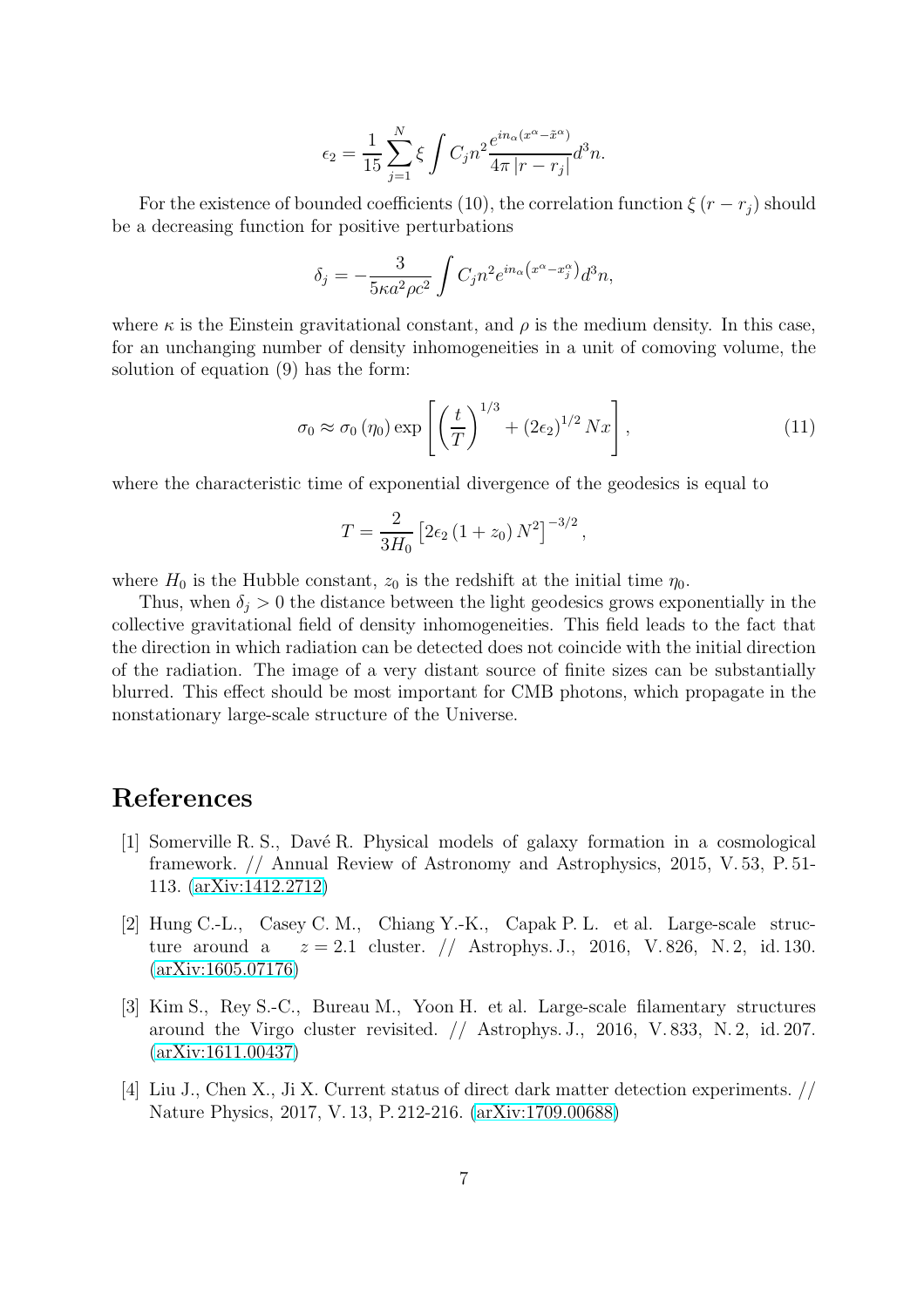$$
\epsilon_2 = \frac{1}{15} \sum_{j=1}^N \xi \int C_j n^2 \frac{e^{in_\alpha(x^\alpha - \tilde{x}^\alpha)}}{4\pi |r - r_j|} d^3 n.
$$

For the existence of bounded coefficients (10), the correlation function  $\xi (r - r_i)$  should be a decreasing function for positive perturbations

$$
\delta_j = -\frac{3}{5\kappa a^2 \rho c^2} \int C_j n^2 e^{in_\alpha \left(x^\alpha - x_j^\alpha\right)} d^3 n,
$$

where  $\kappa$  is the Einstein gravitational constant, and  $\rho$  is the medium density. In this case, for an unchanging number of density inhomogeneities in a unit of comoving volume, the solution of equation (9) has the form:

$$
\sigma_0 \approx \sigma_0 \left( \eta_0 \right) \exp \left[ \left( \frac{t}{T} \right)^{1/3} + \left( 2\epsilon_2 \right)^{1/2} N x \right], \tag{11}
$$

where the characteristic time of exponential divergence of the geodesics is equal to

$$
T = \frac{2}{3H_0} \left[ 2\epsilon_2 \left( 1 + z_0 \right) N^2 \right]^{-3/2},
$$

where  $H_0$  is the Hubble constant,  $z_0$  is the redshift at the initial time  $\eta_0$ .

Thus, when  $\delta_i > 0$  the distance between the light geodesics grows exponentially in the collective gravitational field of density inhomogeneities. This field leads to the fact that the direction in which radiation can be detected does not coincide with the initial direction of the radiation. The image of a very distant source of finite sizes can be substantially blurred. This effect should be most important for CMB photons, which propagate in the nonstationary large-scale structure of the Universe.

# <span id="page-6-0"></span>References

- [1] Somerville R. S., Davé R. Physical models of galaxy formation in a cosmological framework. // Annual Review of Astronomy and Astrophysics, 2015, V. 53, P. 51- 113. [\(arXiv:1412.2712\)](http://arxiv.org/abs/1412.2712)
- <span id="page-6-1"></span>[2] Hung C.-L., Casey C. M., Chiang Y.-K., Capak P. L. et al. Large-scale structure around a  $z = 2.1$  cluster. // Astrophys. J., 2016, V.826, N. 2, id. 130. [\(arXiv:1605.07176\)](http://arxiv.org/abs/1605.07176)
- <span id="page-6-2"></span>[3] Kim S., Rey S.-C., Bureau M., Yoon H. et al. Large-scale filamentary structures around the Virgo cluster revisited. // Astrophys. J., 2016, V. 833, N. 2, id. 207. [\(arXiv:1611.00437\)](http://arxiv.org/abs/1611.00437)
- <span id="page-6-3"></span>[4] Liu J., Chen X., Ji X. Current status of direct dark matter detection experiments. // Nature Physics, 2017, V. 13, P. 212-216. [\(arXiv:1709.00688\)](http://arxiv.org/abs/1709.00688)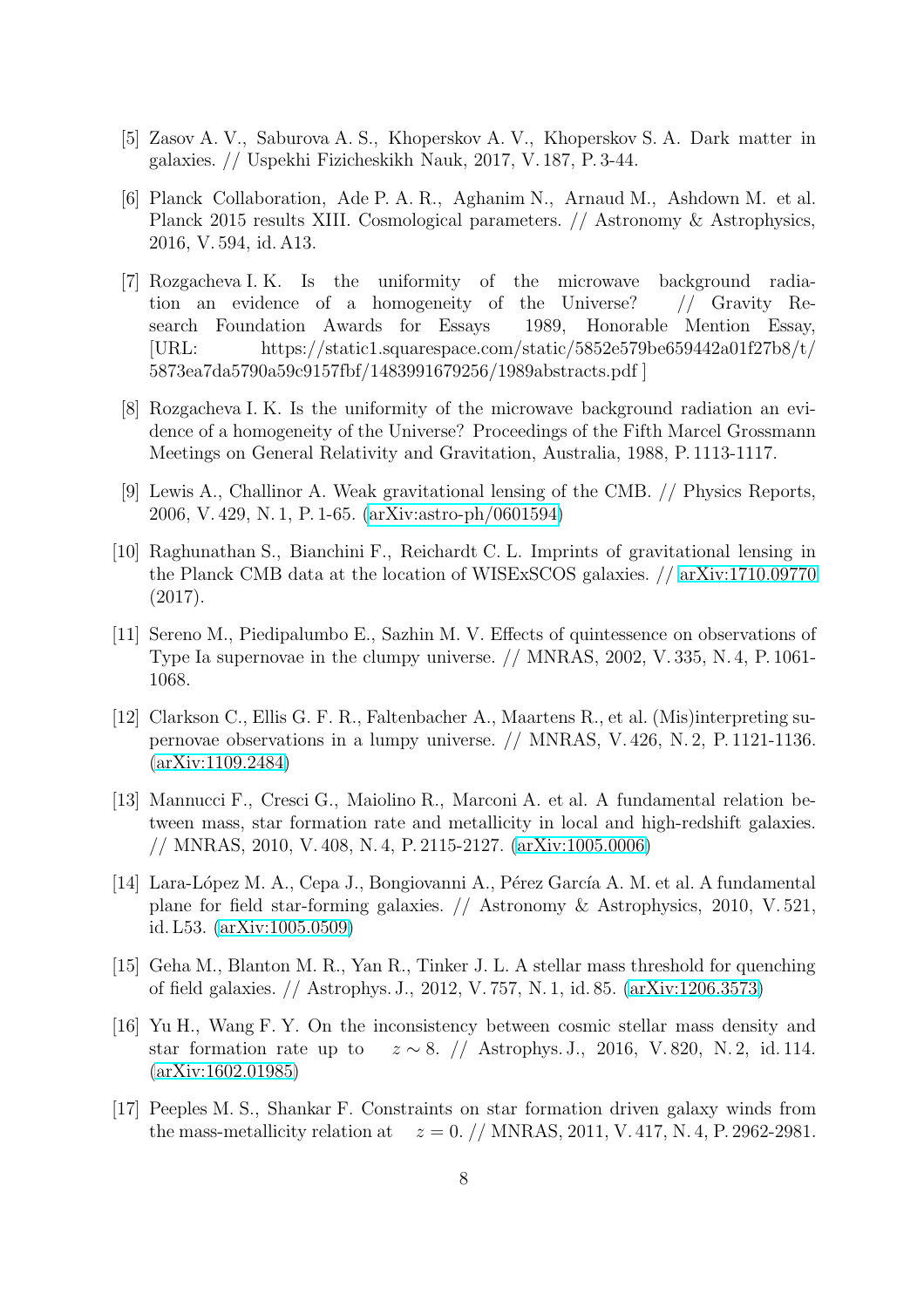- <span id="page-7-1"></span><span id="page-7-0"></span>[5] Zasov A. V., Saburova A. S., Khoperskov A. V., Khoperskov S. A. Dark matter in galaxies. // Uspekhi Fizicheskikh Nauk, 2017, V. 187, P. 3-44.
- [6] Planck Collaboration, Ade P. A. R., Aghanim N., Arnaud M., Ashdown M. et al. Planck 2015 results XIII. Cosmological parameters. // Astronomy & Astrophysics, 2016, V. 594, id. A13.
- <span id="page-7-2"></span>[7] Rozgacheva I. K. Is the uniformity of the microwave background radiation an evidence of a homogeneity of the Universe? // Gravity Research Foundation Awards for Essays 1989, Honorable Mention Essay, [URL: https://static1.squarespace.com/static/5852e579be659442a01f27b8/t/ 5873ea7da5790a59c9157fbf/1483991679256/1989abstracts.pdf ]
- <span id="page-7-3"></span>[8] Rozgacheva I. K. Is the uniformity of the microwave background radiation an evidence of a homogeneity of the Universe? Proceedings of the Fifth Marcel Grossmann Meetings on General Relativity and Gravitation, Australia, 1988, P. 1113-1117.
- <span id="page-7-4"></span>[9] Lewis A., Challinor A. Weak gravitational lensing of the CMB. // Physics Reports, 2006, V. 429, N. 1, P. 1-65. [\(arXiv:astro-ph/0601594\)](http://arxiv.org/abs/astro-ph/0601594)
- <span id="page-7-5"></span>[10] Raghunathan S., Bianchini F., Reichardt C. L. Imprints of gravitational lensing in the Planck CMB data at the location of WISExSCOS galaxies. // [arXiv:1710.09770](http://arxiv.org/abs/1710.09770) (2017).
- <span id="page-7-6"></span>[11] Sereno M., Piedipalumbo E., Sazhin M. V. Effects of quintessence on observations of Type Ia supernovae in the clumpy universe. // MNRAS, 2002, V. 335, N. 4, P. 1061- 1068.
- <span id="page-7-7"></span>[12] Clarkson C., Ellis G. F. R., Faltenbacher A., Maartens R., et al. (Mis)interpreting supernovae observations in a lumpy universe. // MNRAS, V. 426, N. 2, P. 1121-1136. [\(arXiv:1109.2484\)](http://arxiv.org/abs/1109.2484)
- <span id="page-7-8"></span>[13] Mannucci F., Cresci G., Maiolino R., Marconi A. et al. A fundamental relation between mass, star formation rate and metallicity in local and high-redshift galaxies. // MNRAS, 2010, V. 408, N. 4, P. 2115-2127. [\(arXiv:1005.0006\)](http://arxiv.org/abs/1005.0006)
- <span id="page-7-9"></span>[14] Lara-López M. A., Cepa J., Bongiovanni A., Pérez García A. M. et al. A fundamental plane for field star-forming galaxies. // Astronomy & Astrophysics, 2010, V. 521, id. L53. [\(arXiv:1005.0509\)](http://arxiv.org/abs/1005.0509)
- <span id="page-7-10"></span>[15] Geha M., Blanton M. R., Yan R., Tinker J. L. A stellar mass threshold for quenching of field galaxies. // Astrophys. J., 2012, V. 757, N. 1, id. 85. [\(arXiv:1206.3573\)](http://arxiv.org/abs/1206.3573)
- <span id="page-7-11"></span>[16] Yu H., Wang F. Y. On the inconsistency between cosmic stellar mass density and star formation rate up to  $z \sim 8$ . // Astrophys. J., 2016, V. 820, N. 2, id. 114. [\(arXiv:1602.01985\)](http://arxiv.org/abs/1602.01985)
- <span id="page-7-12"></span>[17] Peeples M. S., Shankar F. Constraints on star formation driven galaxy winds from the mass-metallicity relation at  $z = 0. / /$  MNRAS, 2011, V. 417, N. 4, P. 2962-2981.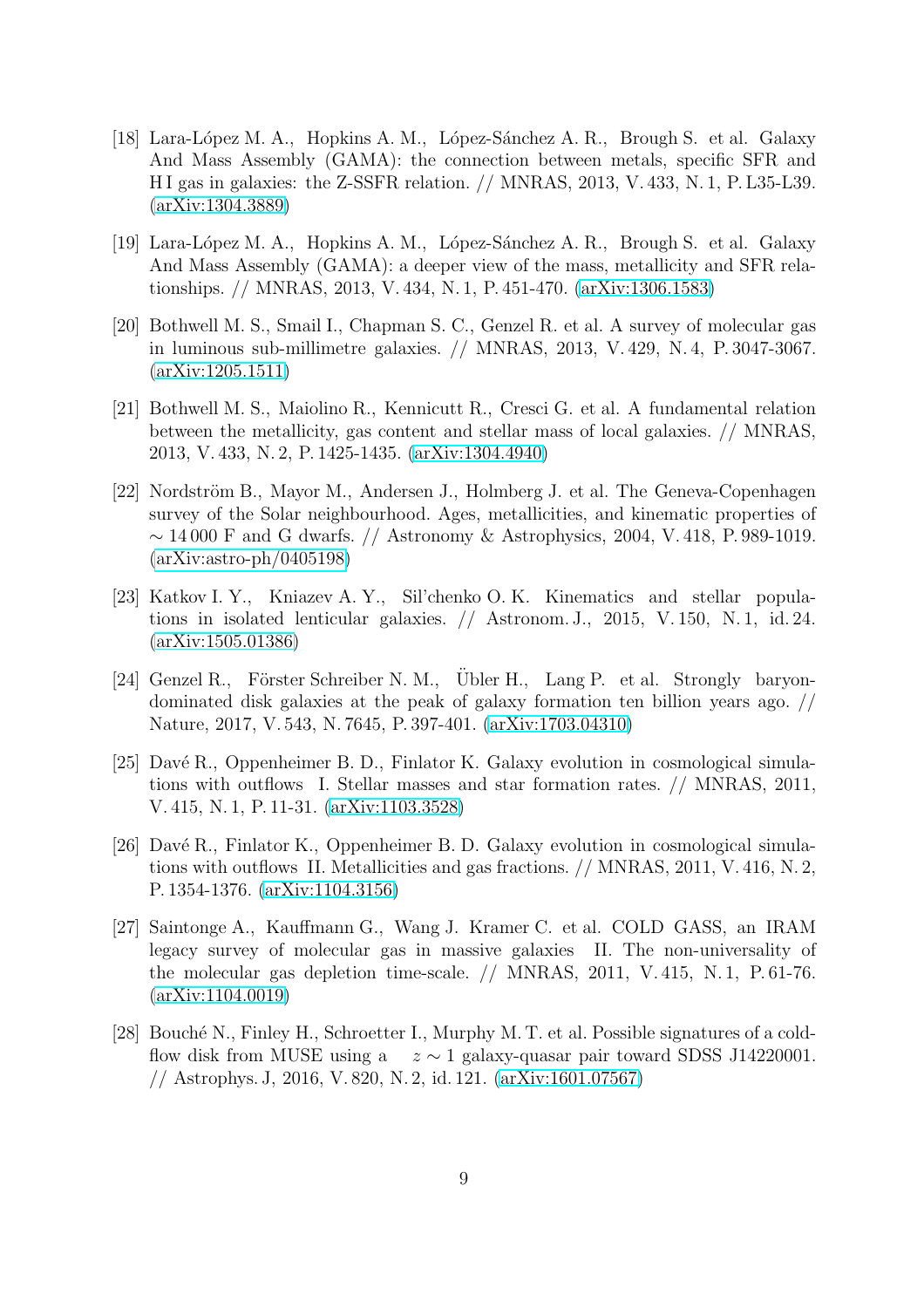- <span id="page-8-0"></span>[18] Lara-López M. A., Hopkins A. M., López-Sánchez A. R., Brough S. et al. Galaxy And Mass Assembly (GAMA): the connection between metals, specific SFR and H I gas in galaxies: the Z-SSFR relation. // MNRAS, 2013, V. 433, N. 1, P. L35-L39. [\(arXiv:1304.3889\)](http://arxiv.org/abs/1304.3889)
- <span id="page-8-1"></span>[19] Lara-López M. A., Hopkins A. M., López-Sánchez A. R., Brough S. et al. Galaxy And Mass Assembly (GAMA): a deeper view of the mass, metallicity and SFR relationships. // MNRAS, 2013, V. 434, N. 1, P. 451-470. [\(arXiv:1306.1583\)](http://arxiv.org/abs/1306.1583)
- <span id="page-8-2"></span>[20] Bothwell M. S., Smail I., Chapman S. C., Genzel R. et al. A survey of molecular gas in luminous sub-millimetre galaxies. // MNRAS, 2013, V. 429, N. 4, P. 3047-3067. [\(arXiv:1205.1511\)](http://arxiv.org/abs/1205.1511)
- <span id="page-8-3"></span>[21] Bothwell M. S., Maiolino R., Kennicutt R., Cresci G. et al. A fundamental relation between the metallicity, gas content and stellar mass of local galaxies. // MNRAS, 2013, V. 433, N. 2, P. 1425-1435. [\(arXiv:1304.4940\)](http://arxiv.org/abs/1304.4940)
- <span id="page-8-4"></span>[22] Nordström B., Mayor M., Andersen J., Holmberg J. et al. The Geneva-Copenhagen survey of the Solar neighbourhood. Ages, metallicities, and kinematic properties of  $\sim$  14 000 F and G dwarfs. // Astronomy & Astrophysics, 2004, V. 418, P. 989-1019. [\(arXiv:astro-ph/0405198\)](http://arxiv.org/abs/astro-ph/0405198)
- <span id="page-8-5"></span>[23] Katkov I. Y., Kniazev A. Y., Sil'chenko O. K. Kinematics and stellar populations in isolated lenticular galaxies. // Astronom. J., 2015, V. 150, N. 1, id. 24. [\(arXiv:1505.01386\)](http://arxiv.org/abs/1505.01386)
- <span id="page-8-6"></span>[24] Genzel R., Förster Schreiber N. M., Übler H., Lang P. et al. Strongly baryondominated disk galaxies at the peak of galaxy formation ten billion years ago. // Nature, 2017, V. 543, N. 7645, P. 397-401. [\(arXiv:1703.04310\)](http://arxiv.org/abs/1703.04310)
- <span id="page-8-7"></span>[25] Davé R., Oppenheimer B. D., Finlator K. Galaxy evolution in cosmological simulations with outflows I. Stellar masses and star formation rates. // MNRAS, 2011, V. 415, N. 1, P. 11-31. [\(arXiv:1103.3528\)](http://arxiv.org/abs/1103.3528)
- <span id="page-8-8"></span>[26] Davé R., Finlator K., Oppenheimer B. D. Galaxy evolution in cosmological simulations with outflows II. Metallicities and gas fractions. // MNRAS, 2011, V. 416, N. 2, P. 1354-1376. [\(arXiv:1104.3156\)](http://arxiv.org/abs/1104.3156)
- <span id="page-8-9"></span>[27] Saintonge A., Kauffmann G., Wang J. Kramer C. et al. COLD GASS, an IRAM legacy survey of molecular gas in massive galaxies II. The non-universality of the molecular gas depletion time-scale. // MNRAS, 2011, V. 415, N. 1, P. 61-76. [\(arXiv:1104.0019\)](http://arxiv.org/abs/1104.0019)
- <span id="page-8-10"></span>[28] Bouché N., Finley H., Schroetter I., Murphy M. T. et al. Possible signatures of a coldflow disk from MUSE using a  $z \sim 1$  galaxy-quasar pair toward SDSS J14220001. // Astrophys. J, 2016, V. 820, N. 2, id. 121. [\(arXiv:1601.07567\)](http://arxiv.org/abs/1601.07567)